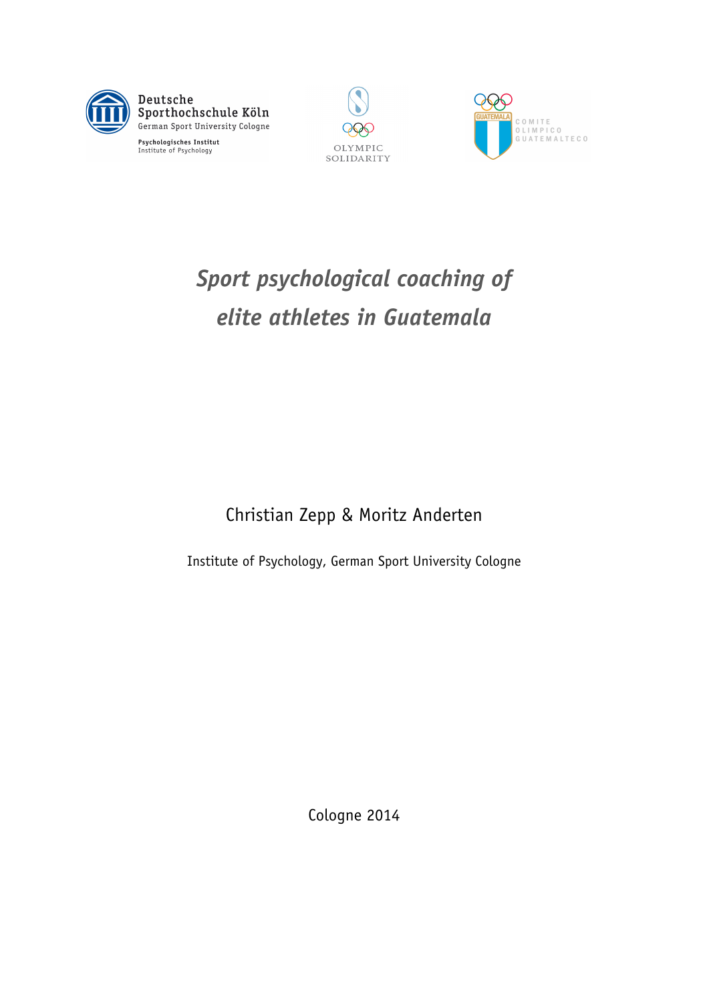

Deutsche Sporthochschule Köln German Sport University Cologne Psychologisches Institut<br>Institute of Psychology





# *Sport psychological coaching of elite athletes in Guatemala*

Christian Zepp & Moritz Anderten

Institute of Psychology, German Sport University Cologne

Cologne 2014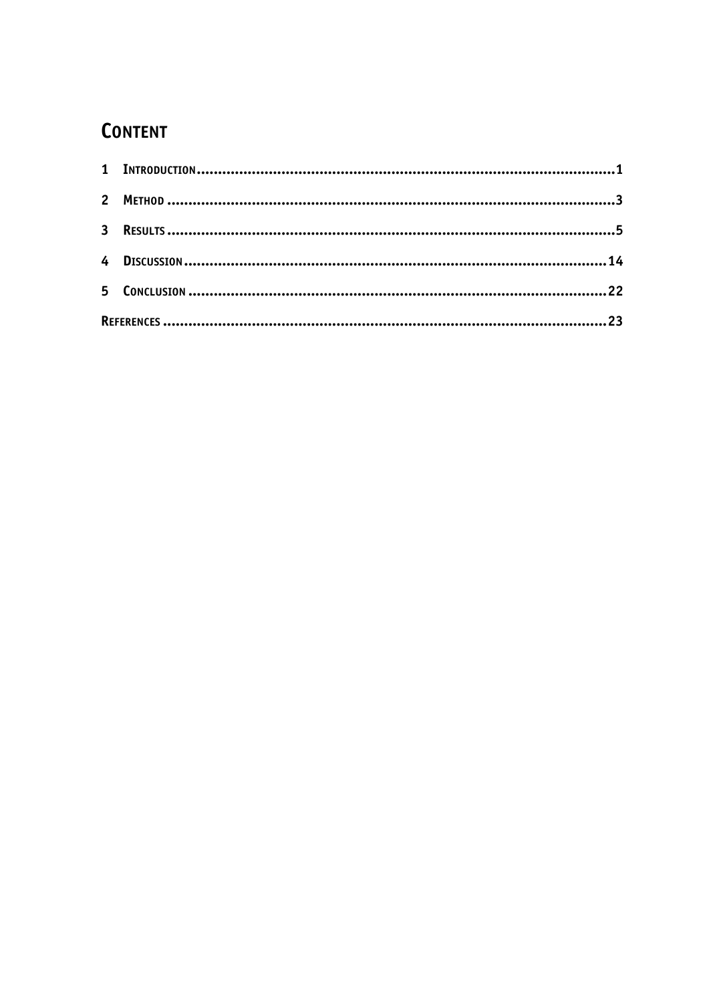# **CONTENT**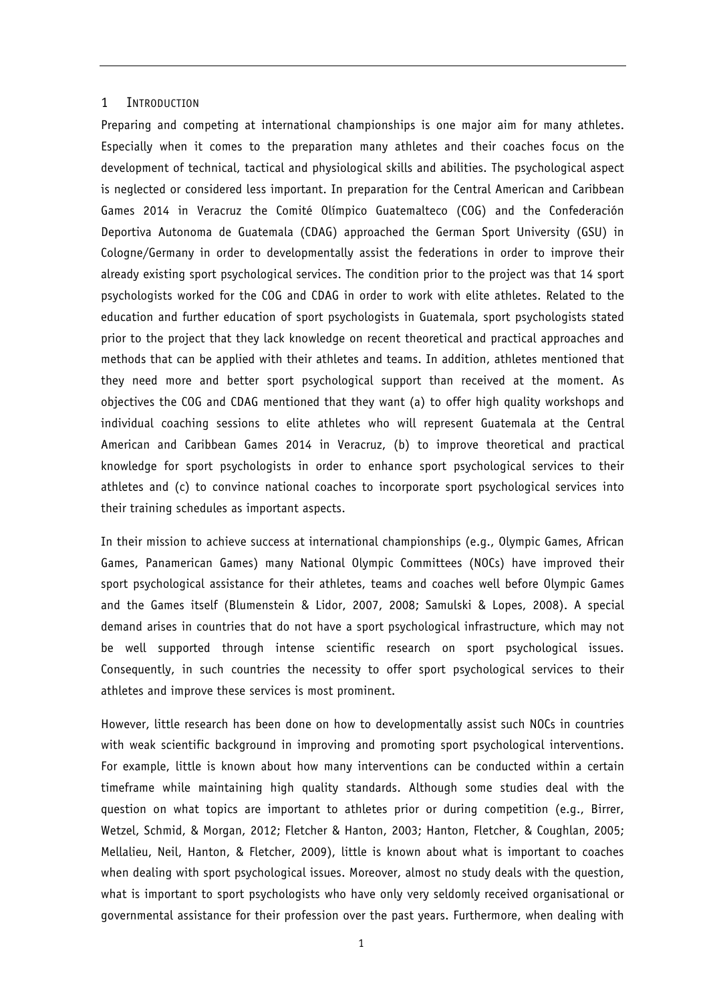#### 1 INTRODUCTION

Preparing and competing at international championships is one major aim for many athletes. Especially when it comes to the preparation many athletes and their coaches focus on the development of technical, tactical and physiological skills and abilities. The psychological aspect is neglected or considered less important. In preparation for the Central American and Caribbean Games 2014 in Veracruz the Comité Olímpico Guatemalteco (COG) and the Confederación Deportiva Autonoma de Guatemala (CDAG) approached the German Sport University (GSU) in Cologne/Germany in order to developmentally assist the federations in order to improve their already existing sport psychological services. The condition prior to the project was that 14 sport psychologists worked for the COG and CDAG in order to work with elite athletes. Related to the education and further education of sport psychologists in Guatemala, sport psychologists stated prior to the project that they lack knowledge on recent theoretical and practical approaches and methods that can be applied with their athletes and teams. In addition, athletes mentioned that they need more and better sport psychological support than received at the moment. As objectives the COG and CDAG mentioned that they want (a) to offer high quality workshops and individual coaching sessions to elite athletes who will represent Guatemala at the Central American and Caribbean Games 2014 in Veracruz, (b) to improve theoretical and practical knowledge for sport psychologists in order to enhance sport psychological services to their athletes and (c) to convince national coaches to incorporate sport psychological services into their training schedules as important aspects.

In their mission to achieve success at international championships (e.g., Olympic Games, African Games, Panamerican Games) many National Olympic Committees (NOCs) have improved their sport psychological assistance for their athletes, teams and coaches well before Olympic Games and the Games itself (Blumenstein & Lidor, 2007, 2008; Samulski & Lopes, 2008). A special demand arises in countries that do not have a sport psychological infrastructure, which may not be well supported through intense scientific research on sport psychological issues. Consequently, in such countries the necessity to offer sport psychological services to their athletes and improve these services is most prominent.

However, little research has been done on how to developmentally assist such NOCs in countries with weak scientific background in improving and promoting sport psychological interventions. For example, little is known about how many interventions can be conducted within a certain timeframe while maintaining high quality standards. Although some studies deal with the question on what topics are important to athletes prior or during competition (e.g., Birrer, Wetzel, Schmid, & Morgan, 2012; Fletcher & Hanton, 2003; Hanton, Fletcher, & Coughlan, 2005; Mellalieu, Neil, Hanton, & Fletcher, 2009), little is known about what is important to coaches when dealing with sport psychological issues. Moreover, almost no study deals with the question, what is important to sport psychologists who have only very seldomly received organisational or governmental assistance for their profession over the past years. Furthermore, when dealing with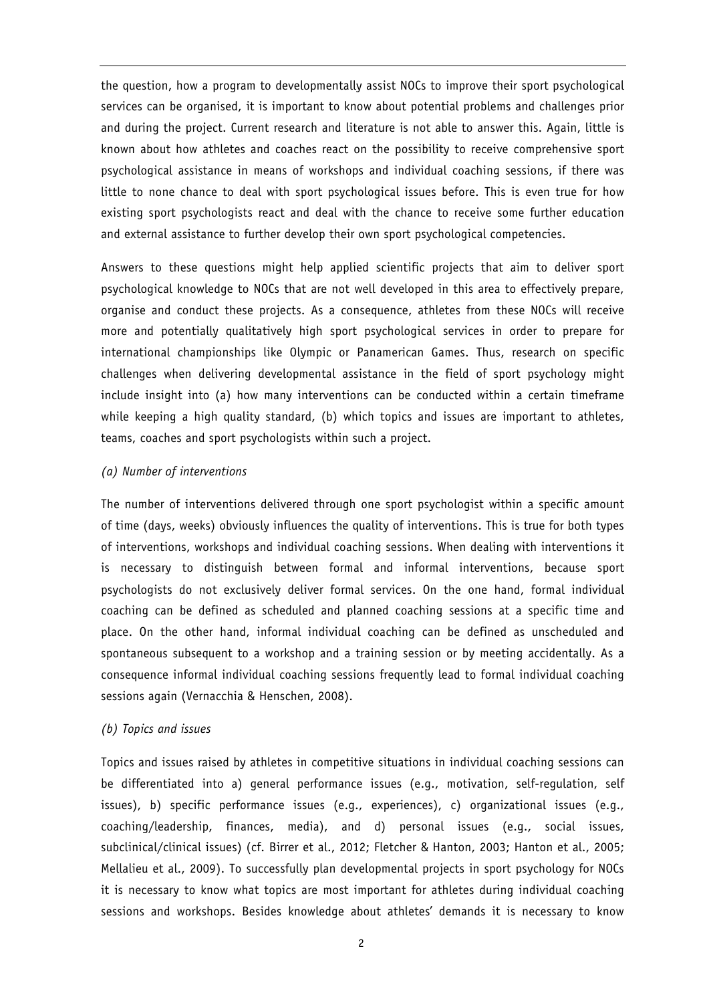the question, how a program to developmentally assist NOCs to improve their sport psychological services can be organised, it is important to know about potential problems and challenges prior and during the project. Current research and literature is not able to answer this. Again, little is known about how athletes and coaches react on the possibility to receive comprehensive sport psychological assistance in means of workshops and individual coaching sessions, if there was little to none chance to deal with sport psychological issues before. This is even true for how existing sport psychologists react and deal with the chance to receive some further education and external assistance to further develop their own sport psychological competencies.

Answers to these questions might help applied scientific projects that aim to deliver sport psychological knowledge to NOCs that are not well developed in this area to effectively prepare, organise and conduct these projects. As a consequence, athletes from these NOCs will receive more and potentially qualitatively high sport psychological services in order to prepare for international championships like Olympic or Panamerican Games. Thus, research on specific challenges when delivering developmental assistance in the field of sport psychology might include insight into (a) how many interventions can be conducted within a certain timeframe while keeping a high quality standard, (b) which topics and issues are important to athletes, teams, coaches and sport psychologists within such a project.

#### *(a) Number of interventions*

The number of interventions delivered through one sport psychologist within a specific amount of time (days, weeks) obviously influences the quality of interventions. This is true for both types of interventions, workshops and individual coaching sessions. When dealing with interventions it is necessary to distinguish between formal and informal interventions, because sport psychologists do not exclusively deliver formal services. On the one hand, formal individual coaching can be defined as scheduled and planned coaching sessions at a specific time and place. On the other hand, informal individual coaching can be defined as unscheduled and spontaneous subsequent to a workshop and a training session or by meeting accidentally. As a consequence informal individual coaching sessions frequently lead to formal individual coaching sessions again (Vernacchia & Henschen, 2008).

# *(b) Topics and issues*

Topics and issues raised by athletes in competitive situations in individual coaching sessions can be differentiated into a) general performance issues (e.g., motivation, self-regulation, self issues), b) specific performance issues (e.g., experiences), c) organizational issues (e.g., coaching/leadership, finances, media), and d) personal issues (e.g., social issues, subclinical/clinical issues) (cf. Birrer et al., 2012; Fletcher & Hanton, 2003; Hanton et al., 2005; Mellalieu et al., 2009). To successfully plan developmental projects in sport psychology for NOCs it is necessary to know what topics are most important for athletes during individual coaching sessions and workshops. Besides knowledge about athletes' demands it is necessary to know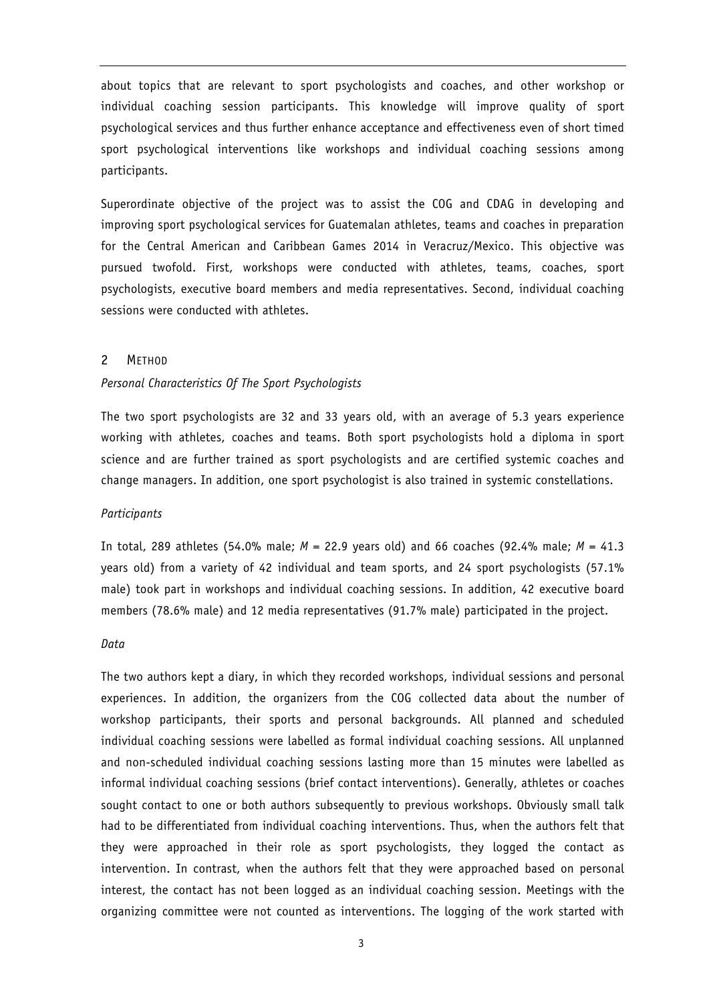about topics that are relevant to sport psychologists and coaches, and other workshop or individual coaching session participants. This knowledge will improve quality of sport psychological services and thus further enhance acceptance and effectiveness even of short timed sport psychological interventions like workshops and individual coaching sessions among participants.

Superordinate objective of the project was to assist the COG and CDAG in developing and improving sport psychological services for Guatemalan athletes, teams and coaches in preparation for the Central American and Caribbean Games 2014 in Veracruz/Mexico. This objective was pursued twofold. First, workshops were conducted with athletes, teams, coaches, sport psychologists, executive board members and media representatives. Second, individual coaching sessions were conducted with athletes.

# 2 METHOD

# *Personal Characteristics Of The Sport Psychologists*

The two sport psychologists are 32 and 33 years old, with an average of 5.3 years experience working with athletes, coaches and teams. Both sport psychologists hold a diploma in sport science and are further trained as sport psychologists and are certified systemic coaches and change managers. In addition, one sport psychologist is also trained in systemic constellations.

#### *Participants*

In total, 289 athletes (54.0% male; *M* = 22.9 years old) and 66 coaches (92.4% male; *M* = 41.3 years old) from a variety of 42 individual and team sports, and 24 sport psychologists (57.1% male) took part in workshops and individual coaching sessions. In addition, 42 executive board members (78.6% male) and 12 media representatives (91.7% male) participated in the project.

#### *Data*

The two authors kept a diary, in which they recorded workshops, individual sessions and personal experiences. In addition, the organizers from the COG collected data about the number of workshop participants, their sports and personal backgrounds. All planned and scheduled individual coaching sessions were labelled as formal individual coaching sessions. All unplanned and non-scheduled individual coaching sessions lasting more than 15 minutes were labelled as informal individual coaching sessions (brief contact interventions). Generally, athletes or coaches sought contact to one or both authors subsequently to previous workshops. Obviously small talk had to be differentiated from individual coaching interventions. Thus, when the authors felt that they were approached in their role as sport psychologists, they logged the contact as intervention. In contrast, when the authors felt that they were approached based on personal interest, the contact has not been logged as an individual coaching session. Meetings with the organizing committee were not counted as interventions. The logging of the work started with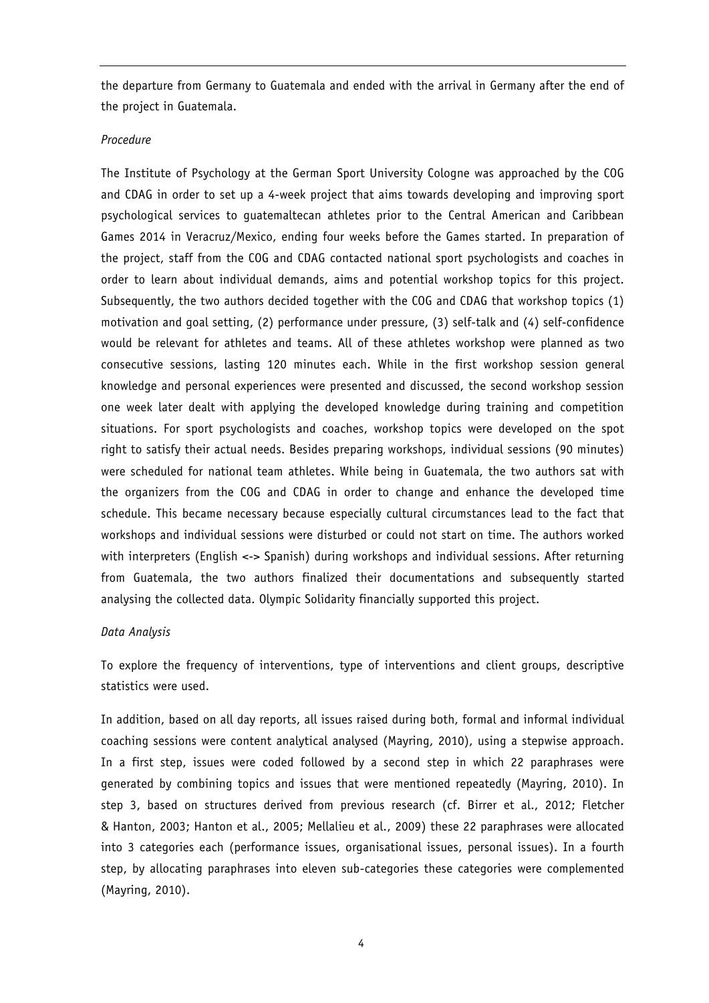the departure from Germany to Guatemala and ended with the arrival in Germany after the end of the project in Guatemala.

#### *Procedure*

The Institute of Psychology at the German Sport University Cologne was approached by the COG and CDAG in order to set up a 4-week project that aims towards developing and improving sport psychological services to guatemaltecan athletes prior to the Central American and Caribbean Games 2014 in Veracruz/Mexico, ending four weeks before the Games started. In preparation of the project, staff from the COG and CDAG contacted national sport psychologists and coaches in order to learn about individual demands, aims and potential workshop topics for this project. Subsequently, the two authors decided together with the COG and CDAG that workshop topics (1) motivation and goal setting, (2) performance under pressure, (3) self-talk and (4) self-confidence would be relevant for athletes and teams. All of these athletes workshop were planned as two consecutive sessions, lasting 120 minutes each. While in the first workshop session general knowledge and personal experiences were presented and discussed, the second workshop session one week later dealt with applying the developed knowledge during training and competition situations. For sport psychologists and coaches, workshop topics were developed on the spot right to satisfy their actual needs. Besides preparing workshops, individual sessions (90 minutes) were scheduled for national team athletes. While being in Guatemala, the two authors sat with the organizers from the COG and CDAG in order to change and enhance the developed time schedule. This became necessary because especially cultural circumstances lead to the fact that workshops and individual sessions were disturbed or could not start on time. The authors worked with interpreters (English <-> Spanish) during workshops and individual sessions. After returning from Guatemala, the two authors finalized their documentations and subsequently started analysing the collected data. Olympic Solidarity financially supported this project.

# *Data Analysis*

To explore the frequency of interventions, type of interventions and client groups, descriptive statistics were used.

In addition, based on all day reports, all issues raised during both, formal and informal individual coaching sessions were content analytical analysed (Mayring, 2010), using a stepwise approach. In a first step, issues were coded followed by a second step in which 22 paraphrases were generated by combining topics and issues that were mentioned repeatedly (Mayring, 2010). In step 3, based on structures derived from previous research (cf. Birrer et al., 2012; Fletcher & Hanton, 2003; Hanton et al., 2005; Mellalieu et al., 2009) these 22 paraphrases were allocated into 3 categories each (performance issues, organisational issues, personal issues). In a fourth step, by allocating paraphrases into eleven sub-categories these categories were complemented (Mayring, 2010).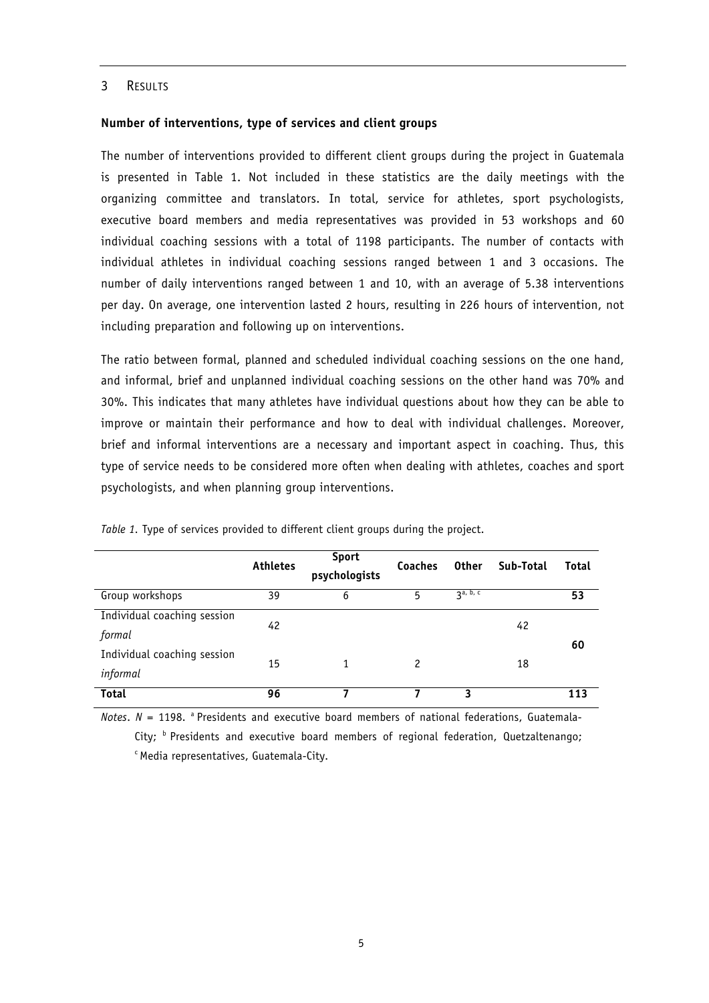#### 3 RESULTS

#### **Number of interventions, type of services and client groups**

The number of interventions provided to different client groups during the project in Guatemala is presented in Table 1. Not included in these statistics are the daily meetings with the organizing committee and translators. In total, service for athletes, sport psychologists, executive board members and media representatives was provided in 53 workshops and 60 individual coaching sessions with a total of 1198 participants. The number of contacts with individual athletes in individual coaching sessions ranged between 1 and 3 occasions. The number of daily interventions ranged between 1 and 10, with an average of 5.38 interventions per day. On average, one intervention lasted 2 hours, resulting in 226 hours of intervention, not including preparation and following up on interventions.

The ratio between formal, planned and scheduled individual coaching sessions on the one hand, and informal, brief and unplanned individual coaching sessions on the other hand was 70% and 30%. This indicates that many athletes have individual questions about how they can be able to improve or maintain their performance and how to deal with individual challenges. Moreover, brief and informal interventions are a necessary and important aspect in coaching. Thus, this type of service needs to be considered more often when dealing with athletes, coaches and sport psychologists, and when planning group interventions.

|                                         | <b>Athletes</b> | <b>Sport</b><br>psychologists | Coaches       | <b>Other</b> | Sub-Total | Total |
|-----------------------------------------|-----------------|-------------------------------|---------------|--------------|-----------|-------|
| Group workshops                         | 39              | 6                             | 5             | 2a, b, c     |           | 53    |
| Individual coaching session             | 42              |                               |               |              | 42        |       |
| formal                                  |                 |                               |               |              |           |       |
| Individual coaching session<br>informal |                 | 1                             | $\mathcal{P}$ |              | 18        | 60    |
|                                         | 15              |                               |               |              |           |       |
| <b>Total</b>                            | 96              |                               |               |              |           | 113   |

*Table 1.* Type of services provided to different client groups during the project.

*Notes*. *N* = 1198. <sup>a</sup> Presidents and executive board members of national federations, Guatemala-City;  $<sup>b</sup>$  Presidents and executive board members of regional federation, Quetzaltenango;</sup> <sup>c</sup> Media representatives, Guatemala-City.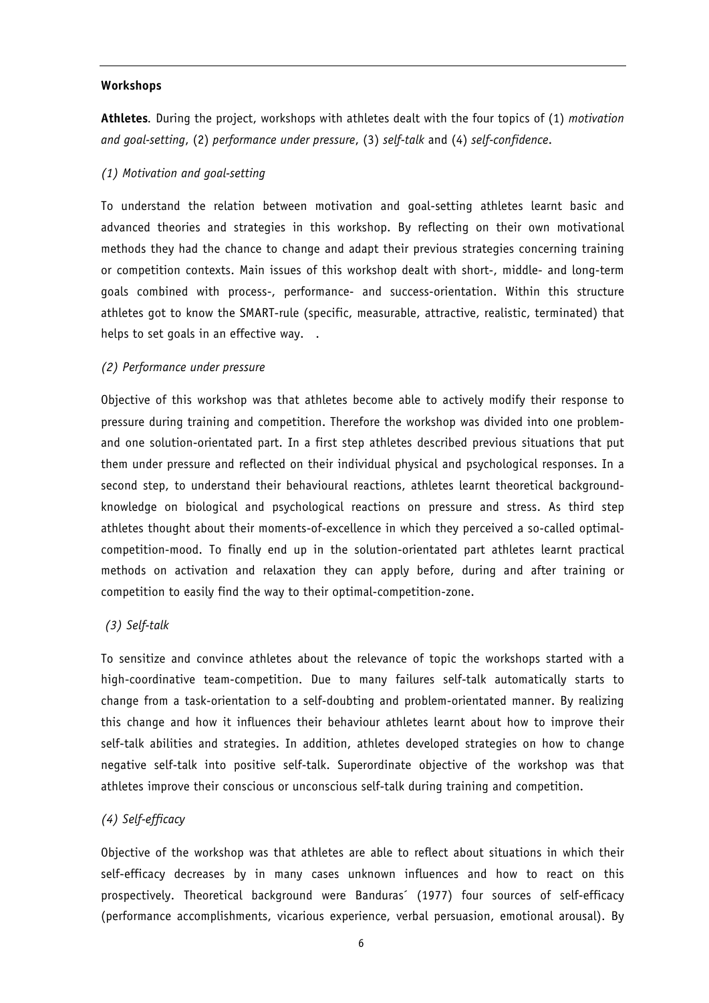# **Workshops**

**Athletes***.* During the project, workshops with athletes dealt with the four topics of (1) *motivation and goal-setting*, (2) *performance under pressure*, (3) *self-talk* and (4) *self-confidence*.

# *(1) Motivation and goal-setting*

To understand the relation between motivation and goal-setting athletes learnt basic and advanced theories and strategies in this workshop. By reflecting on their own motivational methods they had the chance to change and adapt their previous strategies concerning training or competition contexts. Main issues of this workshop dealt with short-, middle- and long-term goals combined with process-, performance- and success-orientation. Within this structure athletes got to know the SMART-rule (specific, measurable, attractive, realistic, terminated) that helps to set goals in an effective way...

# *(2) Performance under pressure*

Objective of this workshop was that athletes become able to actively modify their response to pressure during training and competition. Therefore the workshop was divided into one problemand one solution-orientated part. In a first step athletes described previous situations that put them under pressure and reflected on their individual physical and psychological responses. In a second step, to understand their behavioural reactions, athletes learnt theoretical backgroundknowledge on biological and psychological reactions on pressure and stress. As third step athletes thought about their moments-of-excellence in which they perceived a so-called optimalcompetition-mood. To finally end up in the solution-orientated part athletes learnt practical methods on activation and relaxation they can apply before, during and after training or competition to easily find the way to their optimal-competition-zone.

# *(3) Self-talk*

To sensitize and convince athletes about the relevance of topic the workshops started with a high-coordinative team-competition. Due to many failures self-talk automatically starts to change from a task-orientation to a self-doubting and problem-orientated manner. By realizing this change and how it influences their behaviour athletes learnt about how to improve their self-talk abilities and strategies. In addition, athletes developed strategies on how to change negative self-talk into positive self-talk. Superordinate objective of the workshop was that athletes improve their conscious or unconscious self-talk during training and competition.

# *(4) Self-efficacy*

Objective of the workshop was that athletes are able to reflect about situations in which their self-efficacy decreases by in many cases unknown influences and how to react on this prospectively. Theoretical background were Banduras´ (1977) four sources of self-efficacy (performance accomplishments, vicarious experience, verbal persuasion, emotional arousal). By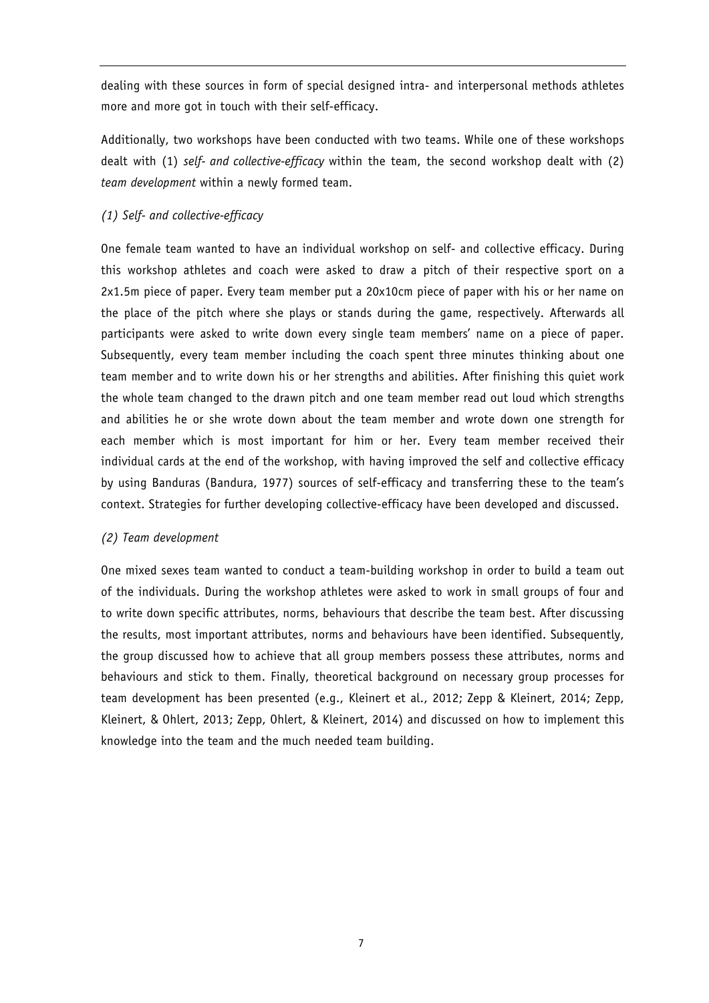dealing with these sources in form of special designed intra- and interpersonal methods athletes more and more got in touch with their self-efficacy.

Additionally, two workshops have been conducted with two teams. While one of these workshops dealt with (1) *self- and collective-efficacy* within the team, the second workshop dealt with (2) *team development* within a newly formed team.

# *(1) Self- and collective-efficacy*

One female team wanted to have an individual workshop on self- and collective efficacy. During this workshop athletes and coach were asked to draw a pitch of their respective sport on a 2x1.5m piece of paper. Every team member put a 20x10cm piece of paper with his or her name on the place of the pitch where she plays or stands during the game, respectively. Afterwards all participants were asked to write down every single team members' name on a piece of paper. Subsequently, every team member including the coach spent three minutes thinking about one team member and to write down his or her strengths and abilities. After finishing this quiet work the whole team changed to the drawn pitch and one team member read out loud which strengths and abilities he or she wrote down about the team member and wrote down one strength for each member which is most important for him or her. Every team member received their individual cards at the end of the workshop, with having improved the self and collective efficacy by using Banduras (Bandura, 1977) sources of self-efficacy and transferring these to the team's context. Strategies for further developing collective-efficacy have been developed and discussed.

# *(2) Team development*

One mixed sexes team wanted to conduct a team-building workshop in order to build a team out of the individuals. During the workshop athletes were asked to work in small groups of four and to write down specific attributes, norms, behaviours that describe the team best. After discussing the results, most important attributes, norms and behaviours have been identified. Subsequently, the group discussed how to achieve that all group members possess these attributes, norms and behaviours and stick to them. Finally, theoretical background on necessary group processes for team development has been presented (e.g., Kleinert et al., 2012; Zepp & Kleinert, 2014; Zepp, Kleinert, & Ohlert, 2013; Zepp, Ohlert, & Kleinert, 2014) and discussed on how to implement this knowledge into the team and the much needed team building.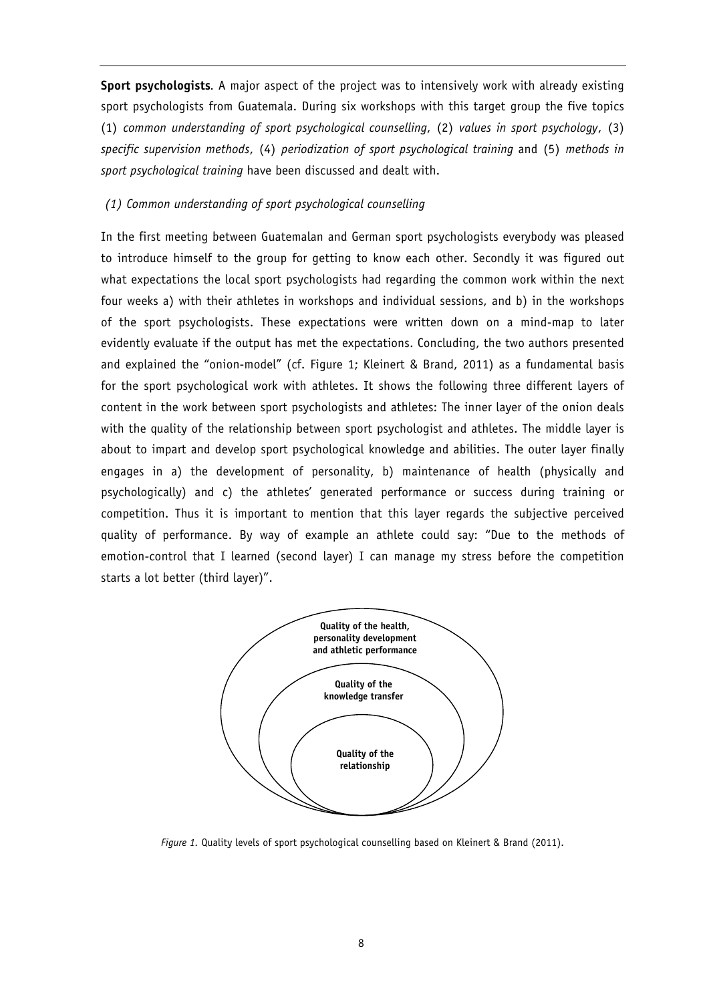**Sport psychologists***.* A major aspect of the project was to intensively work with already existing sport psychologists from Guatemala. During six workshops with this target group the five topics (1) *common understanding of sport psychological counselling*, (2) *values in sport psychology*, (3) *specific supervision methods*, (4) *periodization of sport psychological training* and (5) *methods in sport psychological training* have been discussed and dealt with.

# *(1) Common understanding of sport psychological counselling*

In the first meeting between Guatemalan and German sport psychologists everybody was pleased to introduce himself to the group for getting to know each other. Secondly it was figured out what expectations the local sport psychologists had regarding the common work within the next four weeks a) with their athletes in workshops and individual sessions, and b) in the workshops of the sport psychologists. These expectations were written down on a mind-map to later evidently evaluate if the output has met the expectations. Concluding, the two authors presented and explained the "onion-model" (cf. Figure 1; Kleinert & Brand, 2011) as a fundamental basis for the sport psychological work with athletes. It shows the following three different layers of content in the work between sport psychologists and athletes: The inner layer of the onion deals with the quality of the relationship between sport psychologist and athletes. The middle layer is about to impart and develop sport psychological knowledge and abilities. The outer layer finally engages in a) the development of personality, b) maintenance of health (physically and psychologically) and c) the athletes' generated performance or success during training or competition. Thus it is important to mention that this layer regards the subjective perceived quality of performance. By way of example an athlete could say: "Due to the methods of emotion-control that I learned (second layer) I can manage my stress before the competition starts a lot better (third layer)".



*Figure 1.* Quality levels of sport psychological counselling based on Kleinert & Brand (2011).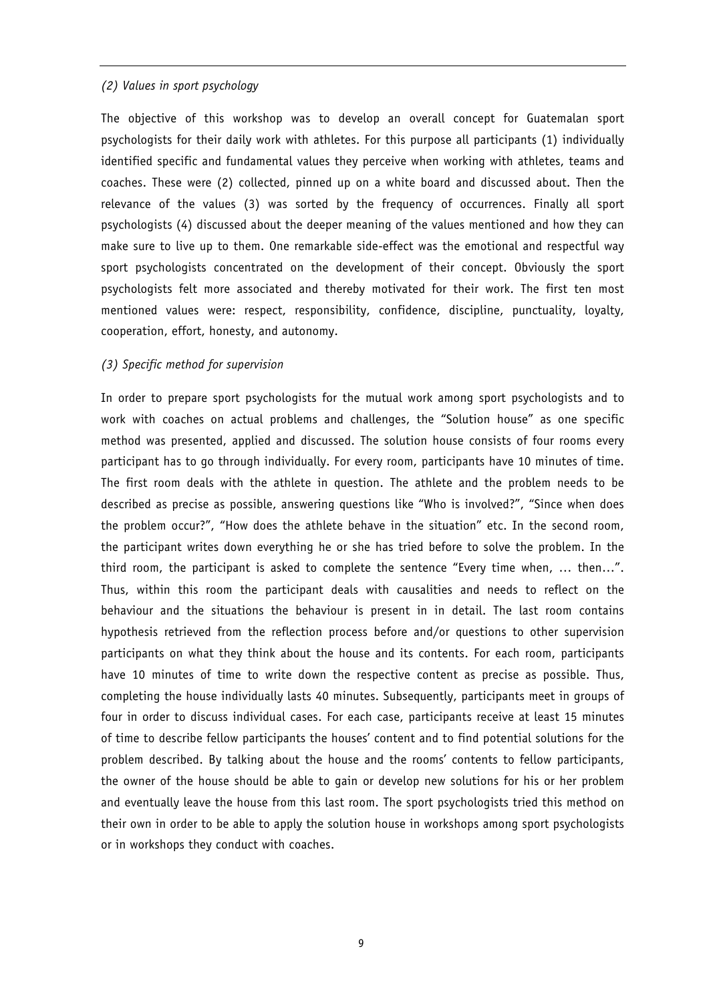#### *(2) Values in sport psychology*

The objective of this workshop was to develop an overall concept for Guatemalan sport psychologists for their daily work with athletes. For this purpose all participants (1) individually identified specific and fundamental values they perceive when working with athletes, teams and coaches. These were (2) collected, pinned up on a white board and discussed about. Then the relevance of the values (3) was sorted by the frequency of occurrences. Finally all sport psychologists (4) discussed about the deeper meaning of the values mentioned and how they can make sure to live up to them. One remarkable side-effect was the emotional and respectful way sport psychologists concentrated on the development of their concept. Obviously the sport psychologists felt more associated and thereby motivated for their work. The first ten most mentioned values were: respect, responsibility, confidence, discipline, punctuality, loyalty, cooperation, effort, honesty, and autonomy.

#### *(3) Specific method for supervision*

In order to prepare sport psychologists for the mutual work among sport psychologists and to work with coaches on actual problems and challenges, the "Solution house" as one specific method was presented, applied and discussed. The solution house consists of four rooms every participant has to go through individually. For every room, participants have 10 minutes of time. The first room deals with the athlete in question. The athlete and the problem needs to be described as precise as possible, answering questions like "Who is involved?", "Since when does the problem occur?", "How does the athlete behave in the situation" etc. In the second room, the participant writes down everything he or she has tried before to solve the problem. In the third room, the participant is asked to complete the sentence "Every time when, … then…". Thus, within this room the participant deals with causalities and needs to reflect on the behaviour and the situations the behaviour is present in in detail. The last room contains hypothesis retrieved from the reflection process before and/or questions to other supervision participants on what they think about the house and its contents. For each room, participants have 10 minutes of time to write down the respective content as precise as possible. Thus, completing the house individually lasts 40 minutes. Subsequently, participants meet in groups of four in order to discuss individual cases. For each case, participants receive at least 15 minutes of time to describe fellow participants the houses' content and to find potential solutions for the problem described. By talking about the house and the rooms' contents to fellow participants, the owner of the house should be able to gain or develop new solutions for his or her problem and eventually leave the house from this last room. The sport psychologists tried this method on their own in order to be able to apply the solution house in workshops among sport psychologists or in workshops they conduct with coaches.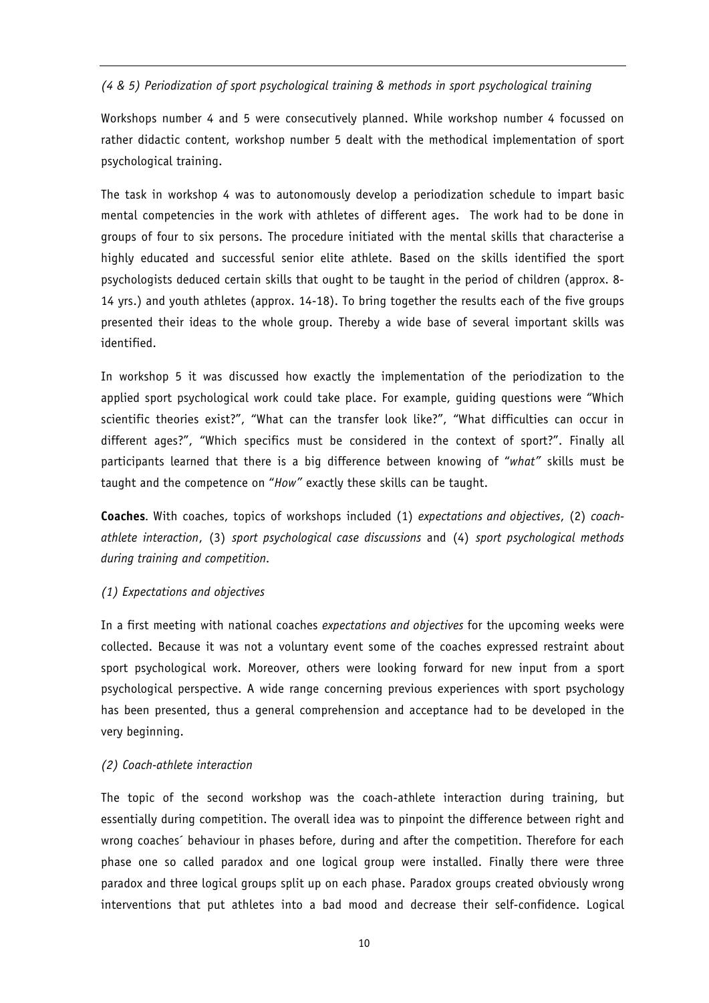# *(4 & 5) Periodization of sport psychological training & methods in sport psychological training*

Workshops number 4 and 5 were consecutively planned. While workshop number 4 focussed on rather didactic content, workshop number 5 dealt with the methodical implementation of sport psychological training.

The task in workshop 4 was to autonomously develop a periodization schedule to impart basic mental competencies in the work with athletes of different ages. The work had to be done in groups of four to six persons. The procedure initiated with the mental skills that characterise a highly educated and successful senior elite athlete. Based on the skills identified the sport psychologists deduced certain skills that ought to be taught in the period of children (approx. 8- 14 yrs.) and youth athletes (approx. 14-18). To bring together the results each of the five groups presented their ideas to the whole group. Thereby a wide base of several important skills was identified.

In workshop 5 it was discussed how exactly the implementation of the periodization to the applied sport psychological work could take place. For example, guiding questions were "Which scientific theories exist?", "What can the transfer look like?", "What difficulties can occur in different ages?", "Which specifics must be considered in the context of sport?". Finally all participants learned that there is a big difference between knowing of "*what"* skills must be taught and the competence on "*How"* exactly these skills can be taught.

**Coaches***.* With coaches, topics of workshops included (1) *expectations and objectives*, (2) *coachathlete interaction*, (3) *sport psychological case discussions* and (4) *sport psychological methods during training and competition.*

# *(1) Expectations and objectives*

In a first meeting with national coaches *expectations and objectives* for the upcoming weeks were collected. Because it was not a voluntary event some of the coaches expressed restraint about sport psychological work. Moreover, others were looking forward for new input from a sport psychological perspective. A wide range concerning previous experiences with sport psychology has been presented, thus a general comprehension and acceptance had to be developed in the very beginning.

# *(2) Coach-athlete interaction*

The topic of the second workshop was the coach-athlete interaction during training, but essentially during competition. The overall idea was to pinpoint the difference between right and wrong coaches´ behaviour in phases before, during and after the competition. Therefore for each phase one so called paradox and one logical group were installed. Finally there were three paradox and three logical groups split up on each phase. Paradox groups created obviously wrong interventions that put athletes into a bad mood and decrease their self-confidence. Logical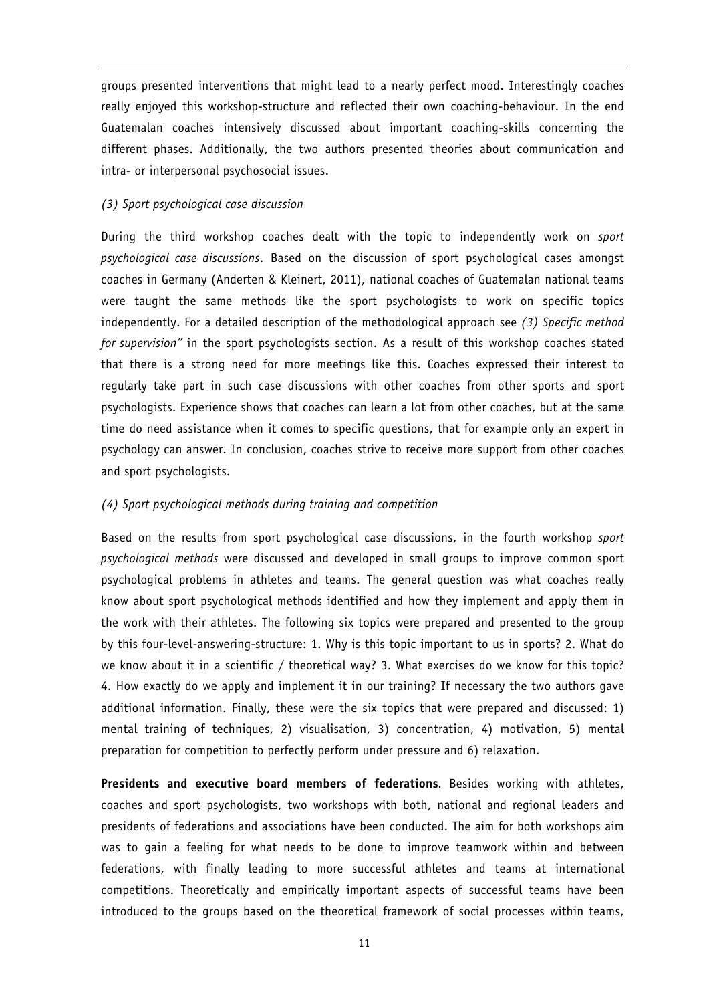groups presented interventions that might lead to a nearly perfect mood. Interestingly coaches really enjoyed this workshop-structure and reflected their own coaching-behaviour. In the end Guatemalan coaches intensively discussed about important coaching-skills concerning the different phases. Additionally, the two authors presented theories about communication and intra- or interpersonal psychosocial issues.

#### *(3) Sport psychological case discussion*

During the third workshop coaches dealt with the topic to independently work on *sport psychological case discussions*. Based on the discussion of sport psychological cases amongst coaches in Germany (Anderten & Kleinert, 2011), national coaches of Guatemalan national teams were taught the same methods like the sport psychologists to work on specific topics independently. For a detailed description of the methodological approach see *(3) Specific method for supervision"* in the sport psychologists section. As a result of this workshop coaches stated that there is a strong need for more meetings like this. Coaches expressed their interest to regularly take part in such case discussions with other coaches from other sports and sport psychologists. Experience shows that coaches can learn a lot from other coaches, but at the same time do need assistance when it comes to specific questions, that for example only an expert in psychology can answer. In conclusion, coaches strive to receive more support from other coaches and sport psychologists.

#### *(4) Sport psychological methods during training and competition*

Based on the results from sport psychological case discussions, in the fourth workshop *sport psychological methods* were discussed and developed in small groups to improve common sport psychological problems in athletes and teams. The general question was what coaches really know about sport psychological methods identified and how they implement and apply them in the work with their athletes. The following six topics were prepared and presented to the group by this four-level-answering-structure: 1. Why is this topic important to us in sports? 2. What do we know about it in a scientific / theoretical way? 3. What exercises do we know for this topic? 4. How exactly do we apply and implement it in our training? If necessary the two authors gave additional information. Finally, these were the six topics that were prepared and discussed: 1) mental training of techniques, 2) visualisation, 3) concentration, 4) motivation, 5) mental preparation for competition to perfectly perform under pressure and 6) relaxation.

**Presidents and executive board members of federations***.* Besides working with athletes, coaches and sport psychologists, two workshops with both, national and regional leaders and presidents of federations and associations have been conducted. The aim for both workshops aim was to gain a feeling for what needs to be done to improve teamwork within and between federations, with finally leading to more successful athletes and teams at international competitions. Theoretically and empirically important aspects of successful teams have been introduced to the groups based on the theoretical framework of social processes within teams,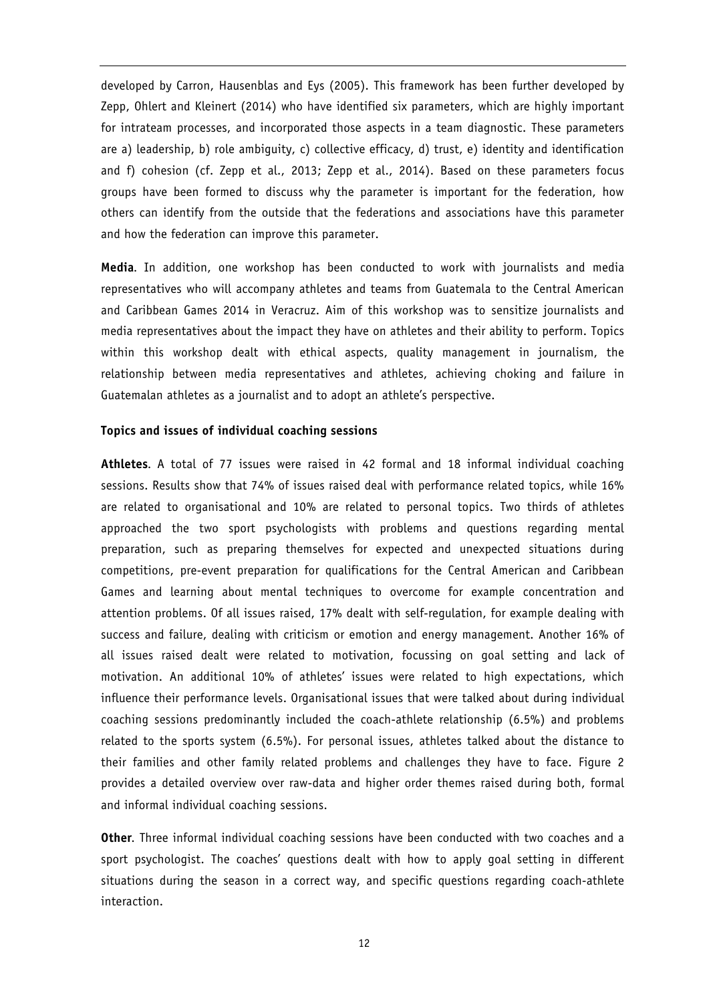developed by Carron, Hausenblas and Eys (2005). This framework has been further developed by Zepp, Ohlert and Kleinert (2014) who have identified six parameters, which are highly important for intrateam processes, and incorporated those aspects in a team diagnostic. These parameters are a) leadership, b) role ambiguity, c) collective efficacy, d) trust, e) identity and identification and f) cohesion (cf. Zepp et al., 2013; Zepp et al., 2014). Based on these parameters focus groups have been formed to discuss why the parameter is important for the federation, how others can identify from the outside that the federations and associations have this parameter and how the federation can improve this parameter.

**Media***.* In addition, one workshop has been conducted to work with journalists and media representatives who will accompany athletes and teams from Guatemala to the Central American and Caribbean Games 2014 in Veracruz. Aim of this workshop was to sensitize journalists and media representatives about the impact they have on athletes and their ability to perform. Topics within this workshop dealt with ethical aspects, quality management in journalism, the relationship between media representatives and athletes, achieving choking and failure in Guatemalan athletes as a journalist and to adopt an athlete's perspective.

#### **Topics and issues of individual coaching sessions**

**Athletes***.* A total of 77 issues were raised in 42 formal and 18 informal individual coaching sessions. Results show that 74% of issues raised deal with performance related topics, while 16% are related to organisational and 10% are related to personal topics. Two thirds of athletes approached the two sport psychologists with problems and questions regarding mental preparation, such as preparing themselves for expected and unexpected situations during competitions, pre-event preparation for qualifications for the Central American and Caribbean Games and learning about mental techniques to overcome for example concentration and attention problems. Of all issues raised, 17% dealt with self-regulation, for example dealing with success and failure, dealing with criticism or emotion and energy management. Another 16% of all issues raised dealt were related to motivation, focussing on goal setting and lack of motivation. An additional 10% of athletes' issues were related to high expectations, which influence their performance levels. Organisational issues that were talked about during individual coaching sessions predominantly included the coach-athlete relationship (6.5%) and problems related to the sports system (6.5%). For personal issues, athletes talked about the distance to their families and other family related problems and challenges they have to face. Figure 2 provides a detailed overview over raw-data and higher order themes raised during both, formal and informal individual coaching sessions.

**Other***.* Three informal individual coaching sessions have been conducted with two coaches and a sport psychologist. The coaches' questions dealt with how to apply goal setting in different situations during the season in a correct way, and specific questions regarding coach-athlete interaction.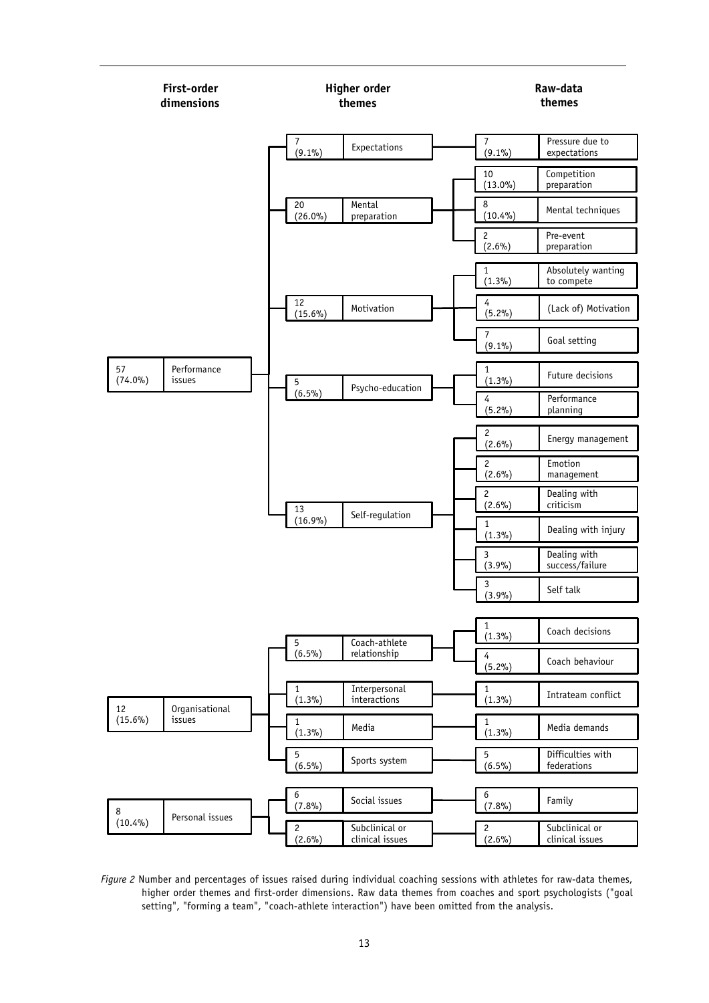

*Figure 2* Number and percentages of issues raised during individual coaching sessions with athletes for raw-data themes, higher order themes and first-order dimensions. Raw data themes from coaches and sport psychologists ("goal setting", "forming a team", "coach-athlete interaction") have been omitted from the analysis.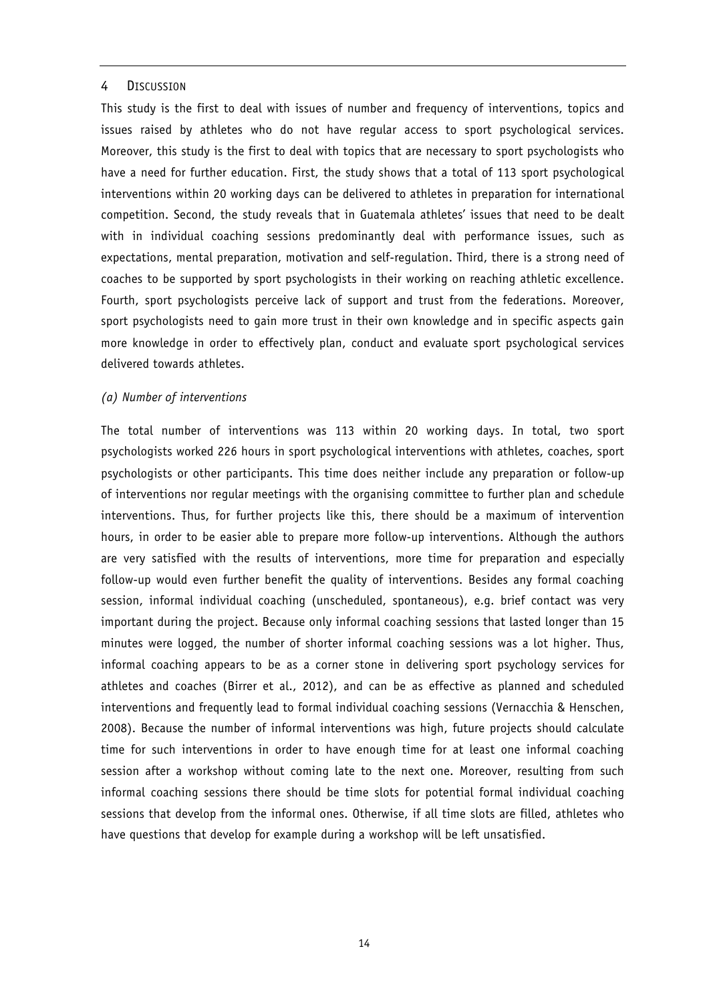#### 4 DISCUSSION

This study is the first to deal with issues of number and frequency of interventions, topics and issues raised by athletes who do not have regular access to sport psychological services. Moreover, this study is the first to deal with topics that are necessary to sport psychologists who have a need for further education. First, the study shows that a total of 113 sport psychological interventions within 20 working days can be delivered to athletes in preparation for international competition. Second, the study reveals that in Guatemala athletes' issues that need to be dealt with in individual coaching sessions predominantly deal with performance issues, such as expectations, mental preparation, motivation and self-regulation. Third, there is a strong need of coaches to be supported by sport psychologists in their working on reaching athletic excellence. Fourth, sport psychologists perceive lack of support and trust from the federations. Moreover, sport psychologists need to gain more trust in their own knowledge and in specific aspects gain more knowledge in order to effectively plan, conduct and evaluate sport psychological services delivered towards athletes.

# *(a) Number of interventions*

The total number of interventions was 113 within 20 working days. In total, two sport psychologists worked 226 hours in sport psychological interventions with athletes, coaches, sport psychologists or other participants. This time does neither include any preparation or follow-up of interventions nor regular meetings with the organising committee to further plan and schedule interventions. Thus, for further projects like this, there should be a maximum of intervention hours, in order to be easier able to prepare more follow-up interventions. Although the authors are very satisfied with the results of interventions, more time for preparation and especially follow-up would even further benefit the quality of interventions. Besides any formal coaching session, informal individual coaching (unscheduled, spontaneous), e.g. brief contact was very important during the project. Because only informal coaching sessions that lasted longer than 15 minutes were logged, the number of shorter informal coaching sessions was a lot higher. Thus, informal coaching appears to be as a corner stone in delivering sport psychology services for athletes and coaches (Birrer et al., 2012), and can be as effective as planned and scheduled interventions and frequently lead to formal individual coaching sessions (Vernacchia & Henschen, 2008). Because the number of informal interventions was high, future projects should calculate time for such interventions in order to have enough time for at least one informal coaching session after a workshop without coming late to the next one. Moreover, resulting from such informal coaching sessions there should be time slots for potential formal individual coaching sessions that develop from the informal ones. Otherwise, if all time slots are filled, athletes who have questions that develop for example during a workshop will be left unsatisfied.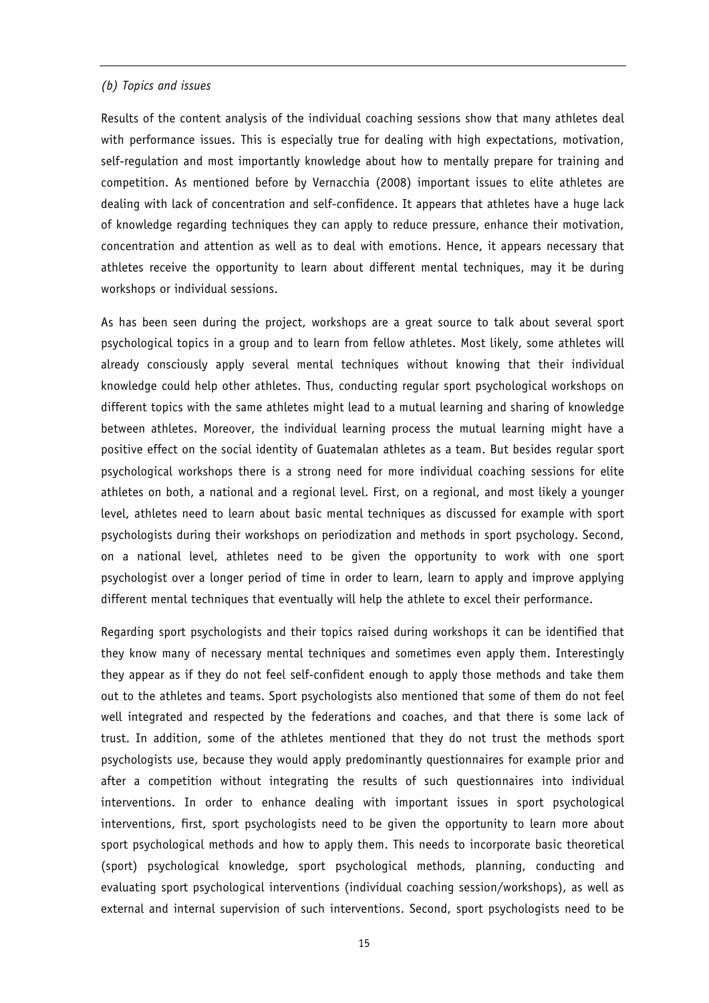# *(b) Topics and issues*

Results of the content analysis of the individual coaching sessions show that many athletes deal with performance issues. This is especially true for dealing with high expectations, motivation, self-regulation and most importantly knowledge about how to mentally prepare for training and competition. As mentioned before by Vernacchia (2008) important issues to elite athletes are dealing with lack of concentration and self-confidence. It appears that athletes have a huge lack of knowledge regarding techniques they can apply to reduce pressure, enhance their motivation, concentration and attention as well as to deal with emotions. Hence, it appears necessary that athletes receive the opportunity to learn about different mental techniques, may it be during workshops or individual sessions.

As has been seen during the project, workshops are a great source to talk about several sport psychological topics in a group and to learn from fellow athletes. Most likely, some athletes will already consciously apply several mental techniques without knowing that their individual knowledge could help other athletes. Thus, conducting regular sport psychological workshops on different topics with the same athletes might lead to a mutual learning and sharing of knowledge between athletes. Moreover, the individual learning process the mutual learning might have a positive effect on the social identity of Guatemalan athletes as a team. But besides regular sport psychological workshops there is a strong need for more individual coaching sessions for elite athletes on both, a national and a regional level. First, on a regional, and most likely a younger level, athletes need to learn about basic mental techniques as discussed for example with sport psychologists during their workshops on periodization and methods in sport psychology. Second, on a national level, athletes need to be given the opportunity to work with one sport psychologist over a longer period of time in order to learn, learn to apply and improve applying different mental techniques that eventually will help the athlete to excel their performance.

Regarding sport psychologists and their topics raised during workshops it can be identified that they know many of necessary mental techniques and sometimes even apply them. Interestingly they appear as if they do not feel self-confident enough to apply those methods and take them out to the athletes and teams. Sport psychologists also mentioned that some of them do not feel well integrated and respected by the federations and coaches, and that there is some lack of trust. In addition, some of the athletes mentioned that they do not trust the methods sport psychologists use, because they would apply predominantly questionnaires for example prior and after a competition without integrating the results of such questionnaires into individual interventions. In order to enhance dealing with important issues in sport psychological interventions, first, sport psychologists need to be given the opportunity to learn more about sport psychological methods and how to apply them. This needs to incorporate basic theoretical (sport) psychological knowledge, sport psychological methods, planning, conducting and evaluating sport psychological interventions (individual coaching session/workshops), as well as external and internal supervision of such interventions. Second, sport psychologists need to be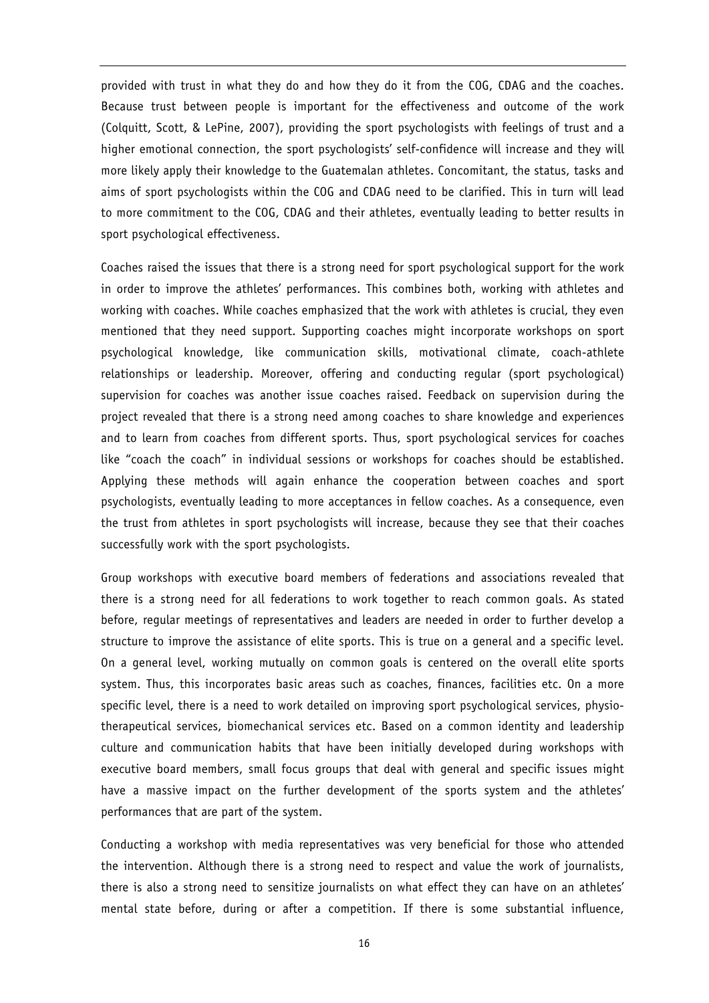provided with trust in what they do and how they do it from the COG, CDAG and the coaches. Because trust between people is important for the effectiveness and outcome of the work (Colquitt, Scott, & LePine, 2007), providing the sport psychologists with feelings of trust and a higher emotional connection, the sport psychologists' self-confidence will increase and they will more likely apply their knowledge to the Guatemalan athletes. Concomitant, the status, tasks and aims of sport psychologists within the COG and CDAG need to be clarified. This in turn will lead to more commitment to the COG, CDAG and their athletes, eventually leading to better results in sport psychological effectiveness.

Coaches raised the issues that there is a strong need for sport psychological support for the work in order to improve the athletes' performances. This combines both, working with athletes and working with coaches. While coaches emphasized that the work with athletes is crucial, they even mentioned that they need support. Supporting coaches might incorporate workshops on sport psychological knowledge, like communication skills, motivational climate, coach-athlete relationships or leadership. Moreover, offering and conducting regular (sport psychological) supervision for coaches was another issue coaches raised. Feedback on supervision during the project revealed that there is a strong need among coaches to share knowledge and experiences and to learn from coaches from different sports. Thus, sport psychological services for coaches like "coach the coach" in individual sessions or workshops for coaches should be established. Applying these methods will again enhance the cooperation between coaches and sport psychologists, eventually leading to more acceptances in fellow coaches. As a consequence, even the trust from athletes in sport psychologists will increase, because they see that their coaches successfully work with the sport psychologists.

Group workshops with executive board members of federations and associations revealed that there is a strong need for all federations to work together to reach common goals. As stated before, regular meetings of representatives and leaders are needed in order to further develop a structure to improve the assistance of elite sports. This is true on a general and a specific level. On a general level, working mutually on common goals is centered on the overall elite sports system. Thus, this incorporates basic areas such as coaches, finances, facilities etc. On a more specific level, there is a need to work detailed on improving sport psychological services, physiotherapeutical services, biomechanical services etc. Based on a common identity and leadership culture and communication habits that have been initially developed during workshops with executive board members, small focus groups that deal with general and specific issues might have a massive impact on the further development of the sports system and the athletes' performances that are part of the system.

Conducting a workshop with media representatives was very beneficial for those who attended the intervention. Although there is a strong need to respect and value the work of journalists, there is also a strong need to sensitize journalists on what effect they can have on an athletes' mental state before, during or after a competition. If there is some substantial influence,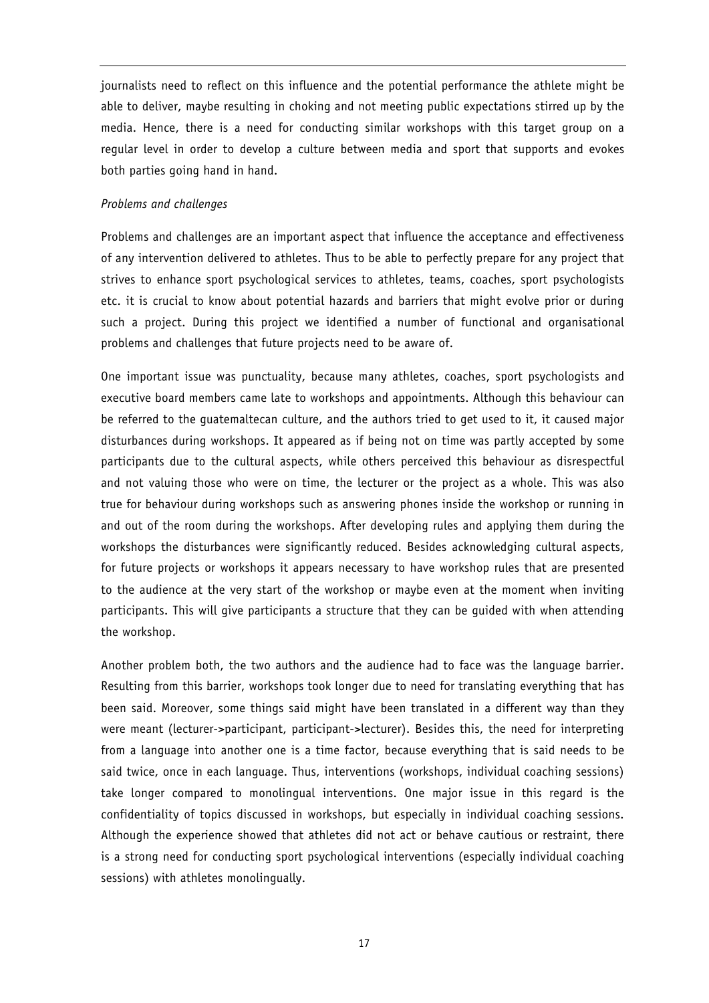journalists need to reflect on this influence and the potential performance the athlete might be able to deliver, maybe resulting in choking and not meeting public expectations stirred up by the media. Hence, there is a need for conducting similar workshops with this target group on a regular level in order to develop a culture between media and sport that supports and evokes both parties going hand in hand.

#### *Problems and challenges*

Problems and challenges are an important aspect that influence the acceptance and effectiveness of any intervention delivered to athletes. Thus to be able to perfectly prepare for any project that strives to enhance sport psychological services to athletes, teams, coaches, sport psychologists etc. it is crucial to know about potential hazards and barriers that might evolve prior or during such a project. During this project we identified a number of functional and organisational problems and challenges that future projects need to be aware of.

One important issue was punctuality, because many athletes, coaches, sport psychologists and executive board members came late to workshops and appointments. Although this behaviour can be referred to the guatemaltecan culture, and the authors tried to get used to it, it caused major disturbances during workshops. It appeared as if being not on time was partly accepted by some participants due to the cultural aspects, while others perceived this behaviour as disrespectful and not valuing those who were on time, the lecturer or the project as a whole. This was also true for behaviour during workshops such as answering phones inside the workshop or running in and out of the room during the workshops. After developing rules and applying them during the workshops the disturbances were significantly reduced. Besides acknowledging cultural aspects, for future projects or workshops it appears necessary to have workshop rules that are presented to the audience at the very start of the workshop or maybe even at the moment when inviting participants. This will give participants a structure that they can be guided with when attending the workshop.

Another problem both, the two authors and the audience had to face was the language barrier. Resulting from this barrier, workshops took longer due to need for translating everything that has been said. Moreover, some things said might have been translated in a different way than they were meant (lecturer->participant, participant->lecturer). Besides this, the need for interpreting from a language into another one is a time factor, because everything that is said needs to be said twice, once in each language. Thus, interventions (workshops, individual coaching sessions) take longer compared to monolingual interventions. One major issue in this regard is the confidentiality of topics discussed in workshops, but especially in individual coaching sessions. Although the experience showed that athletes did not act or behave cautious or restraint, there is a strong need for conducting sport psychological interventions (especially individual coaching sessions) with athletes monolingually.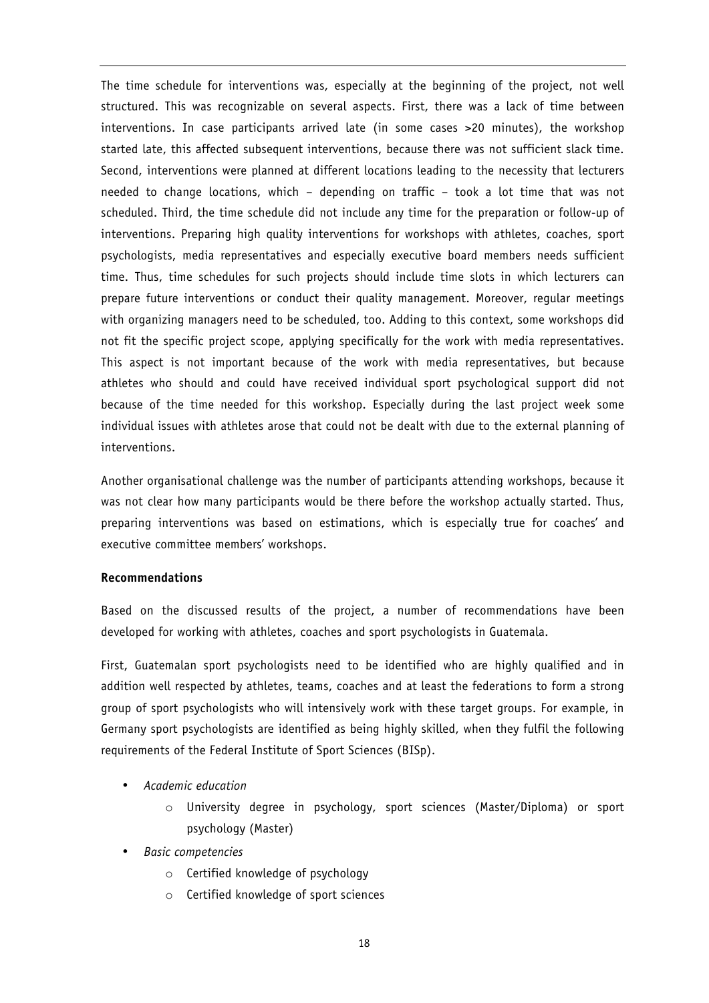The time schedule for interventions was, especially at the beginning of the project, not well structured. This was recognizable on several aspects. First, there was a lack of time between interventions. In case participants arrived late (in some cases >20 minutes), the workshop started late, this affected subsequent interventions, because there was not sufficient slack time. Second, interventions were planned at different locations leading to the necessity that lecturers needed to change locations, which – depending on traffic – took a lot time that was not scheduled. Third, the time schedule did not include any time for the preparation or follow-up of interventions. Preparing high quality interventions for workshops with athletes, coaches, sport psychologists, media representatives and especially executive board members needs sufficient time. Thus, time schedules for such projects should include time slots in which lecturers can prepare future interventions or conduct their quality management. Moreover, regular meetings with organizing managers need to be scheduled, too. Adding to this context, some workshops did not fit the specific project scope, applying specifically for the work with media representatives. This aspect is not important because of the work with media representatives, but because athletes who should and could have received individual sport psychological support did not because of the time needed for this workshop. Especially during the last project week some individual issues with athletes arose that could not be dealt with due to the external planning of interventions.

Another organisational challenge was the number of participants attending workshops, because it was not clear how many participants would be there before the workshop actually started. Thus, preparing interventions was based on estimations, which is especially true for coaches' and executive committee members' workshops.

# **Recommendations**

Based on the discussed results of the project, a number of recommendations have been developed for working with athletes, coaches and sport psychologists in Guatemala.

First, Guatemalan sport psychologists need to be identified who are highly qualified and in addition well respected by athletes, teams, coaches and at least the federations to form a strong group of sport psychologists who will intensively work with these target groups. For example, in Germany sport psychologists are identified as being highly skilled, when they fulfil the following requirements of the Federal Institute of Sport Sciences (BISp).

- *Academic education*
	- o University degree in psychology, sport sciences (Master/Diploma) or sport psychology (Master)
- *Basic competencies*
	- o Certified knowledge of psychology
	- o Certified knowledge of sport sciences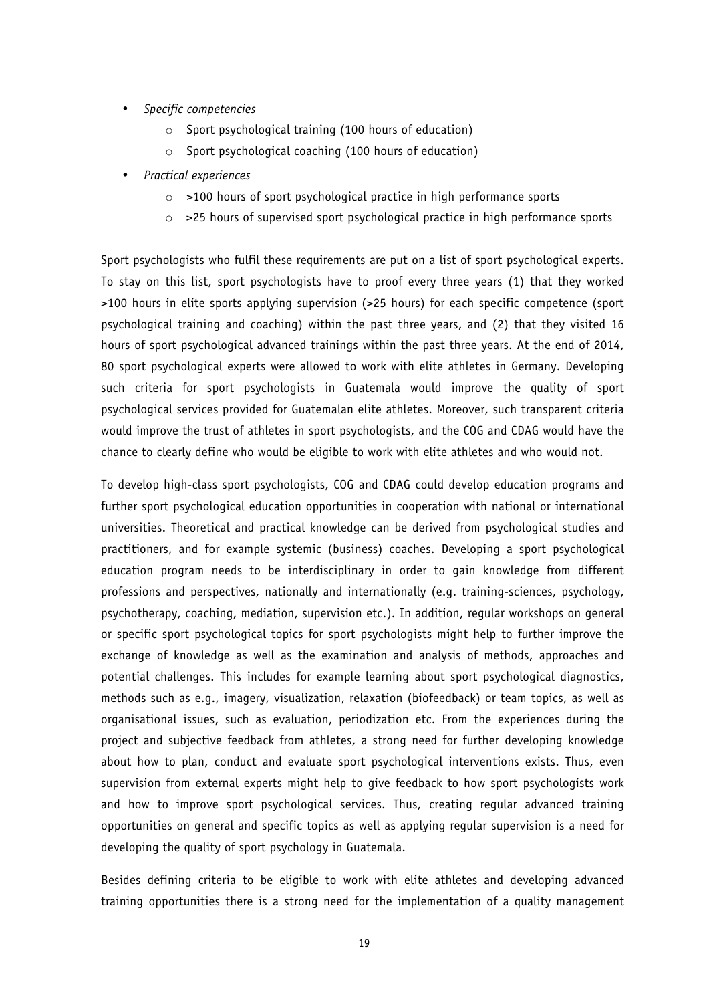- *Specific competencies*
	- o Sport psychological training (100 hours of education)
	- o Sport psychological coaching (100 hours of education)
- *Practical experiences*
	- o >100 hours of sport psychological practice in high performance sports
	- $\circ$  >25 hours of supervised sport psychological practice in high performance sports

Sport psychologists who fulfil these requirements are put on a list of sport psychological experts. To stay on this list, sport psychologists have to proof every three years (1) that they worked >100 hours in elite sports applying supervision (>25 hours) for each specific competence (sport psychological training and coaching) within the past three years, and (2) that they visited 16 hours of sport psychological advanced trainings within the past three years. At the end of 2014, 80 sport psychological experts were allowed to work with elite athletes in Germany. Developing such criteria for sport psychologists in Guatemala would improve the quality of sport psychological services provided for Guatemalan elite athletes. Moreover, such transparent criteria would improve the trust of athletes in sport psychologists, and the COG and CDAG would have the chance to clearly define who would be eligible to work with elite athletes and who would not.

To develop high-class sport psychologists, COG and CDAG could develop education programs and further sport psychological education opportunities in cooperation with national or international universities. Theoretical and practical knowledge can be derived from psychological studies and practitioners, and for example systemic (business) coaches. Developing a sport psychological education program needs to be interdisciplinary in order to gain knowledge from different professions and perspectives, nationally and internationally (e.g. training-sciences, psychology, psychotherapy, coaching, mediation, supervision etc.). In addition, regular workshops on general or specific sport psychological topics for sport psychologists might help to further improve the exchange of knowledge as well as the examination and analysis of methods, approaches and potential challenges. This includes for example learning about sport psychological diagnostics, methods such as e.g., imagery, visualization, relaxation (biofeedback) or team topics, as well as organisational issues, such as evaluation, periodization etc. From the experiences during the project and subjective feedback from athletes, a strong need for further developing knowledge about how to plan, conduct and evaluate sport psychological interventions exists. Thus, even supervision from external experts might help to give feedback to how sport psychologists work and how to improve sport psychological services. Thus, creating regular advanced training opportunities on general and specific topics as well as applying regular supervision is a need for developing the quality of sport psychology in Guatemala.

Besides defining criteria to be eligible to work with elite athletes and developing advanced training opportunities there is a strong need for the implementation of a quality management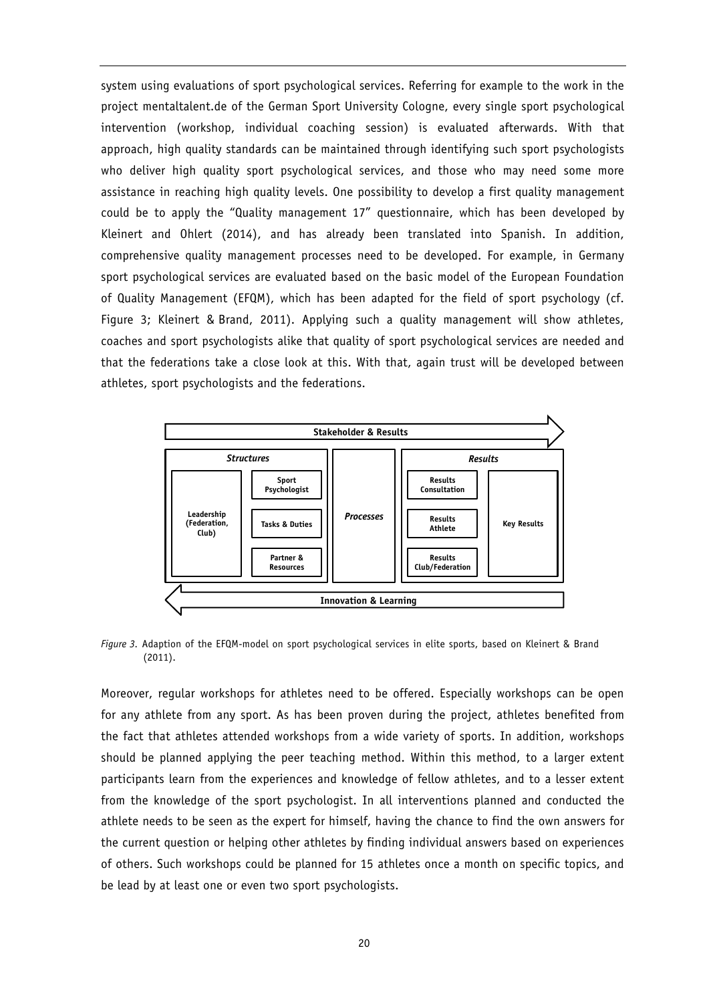system using evaluations of sport psychological services. Referring for example to the work in the project mentaltalent.de of the German Sport University Cologne, every single sport psychological intervention (workshop, individual coaching session) is evaluated afterwards. With that approach, high quality standards can be maintained through identifying such sport psychologists who deliver high quality sport psychological services, and those who may need some more assistance in reaching high quality levels. One possibility to develop a first quality management could be to apply the "Quality management 17" questionnaire, which has been developed by Kleinert and Ohlert (2014), and has already been translated into Spanish. In addition, comprehensive quality management processes need to be developed. For example, in Germany sport psychological services are evaluated based on the basic model of the European Foundation of Quality Management (EFQM), which has been adapted for the field of sport psychology (cf. Figure 3; Kleinert & Brand, 2011). Applying such a quality management will show athletes, coaches and sport psychologists alike that quality of sport psychological services are needed and that the federations take a close look at this. With that, again trust will be developed between athletes, sport psychologists and the federations.



*Figure 3.* Adaption of the EFQM-model on sport psychological services in elite sports, based on Kleinert & Brand (2011).

Moreover, regular workshops for athletes need to be offered. Especially workshops can be open for any athlete from any sport. As has been proven during the project, athletes benefited from the fact that athletes attended workshops from a wide variety of sports. In addition, workshops should be planned applying the peer teaching method. Within this method, to a larger extent participants learn from the experiences and knowledge of fellow athletes, and to a lesser extent from the knowledge of the sport psychologist. In all interventions planned and conducted the athlete needs to be seen as the expert for himself, having the chance to find the own answers for the current question or helping other athletes by finding individual answers based on experiences of others. Such workshops could be planned for 15 athletes once a month on specific topics, and be lead by at least one or even two sport psychologists.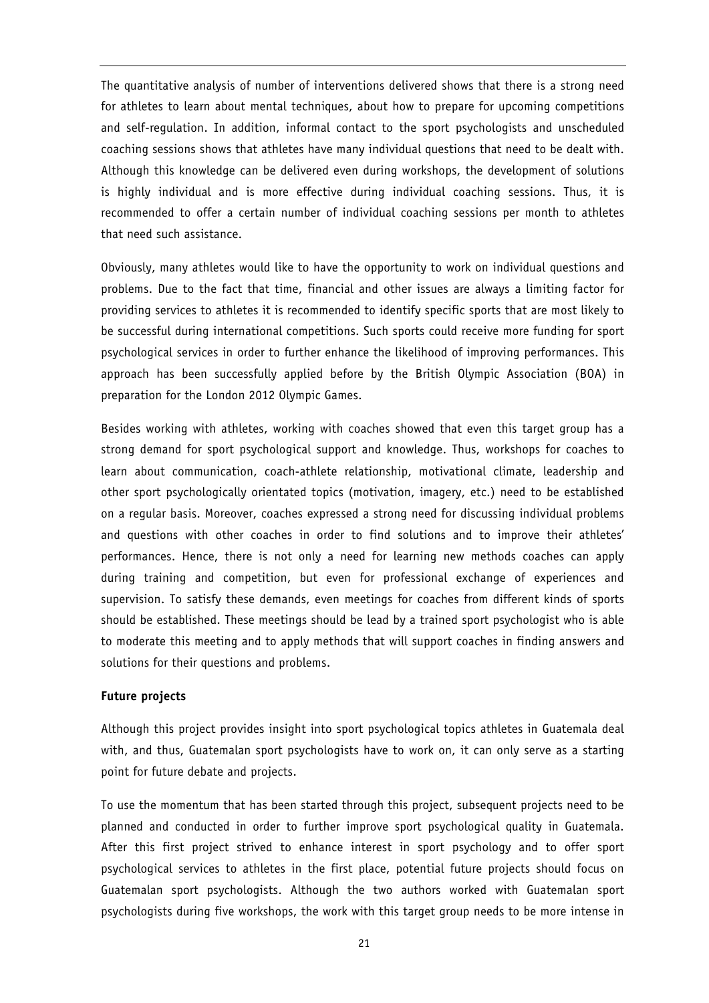The quantitative analysis of number of interventions delivered shows that there is a strong need for athletes to learn about mental techniques, about how to prepare for upcoming competitions and self-regulation. In addition, informal contact to the sport psychologists and unscheduled coaching sessions shows that athletes have many individual questions that need to be dealt with. Although this knowledge can be delivered even during workshops, the development of solutions is highly individual and is more effective during individual coaching sessions. Thus, it is recommended to offer a certain number of individual coaching sessions per month to athletes that need such assistance.

Obviously, many athletes would like to have the opportunity to work on individual questions and problems. Due to the fact that time, financial and other issues are always a limiting factor for providing services to athletes it is recommended to identify specific sports that are most likely to be successful during international competitions. Such sports could receive more funding for sport psychological services in order to further enhance the likelihood of improving performances. This approach has been successfully applied before by the British Olympic Association (BOA) in preparation for the London 2012 Olympic Games.

Besides working with athletes, working with coaches showed that even this target group has a strong demand for sport psychological support and knowledge. Thus, workshops for coaches to learn about communication, coach-athlete relationship, motivational climate, leadership and other sport psychologically orientated topics (motivation, imagery, etc.) need to be established on a regular basis. Moreover, coaches expressed a strong need for discussing individual problems and questions with other coaches in order to find solutions and to improve their athletes' performances. Hence, there is not only a need for learning new methods coaches can apply during training and competition, but even for professional exchange of experiences and supervision. To satisfy these demands, even meetings for coaches from different kinds of sports should be established. These meetings should be lead by a trained sport psychologist who is able to moderate this meeting and to apply methods that will support coaches in finding answers and solutions for their questions and problems.

# **Future projects**

Although this project provides insight into sport psychological topics athletes in Guatemala deal with, and thus, Guatemalan sport psychologists have to work on, it can only serve as a starting point for future debate and projects.

To use the momentum that has been started through this project, subsequent projects need to be planned and conducted in order to further improve sport psychological quality in Guatemala. After this first project strived to enhance interest in sport psychology and to offer sport psychological services to athletes in the first place, potential future projects should focus on Guatemalan sport psychologists. Although the two authors worked with Guatemalan sport psychologists during five workshops, the work with this target group needs to be more intense in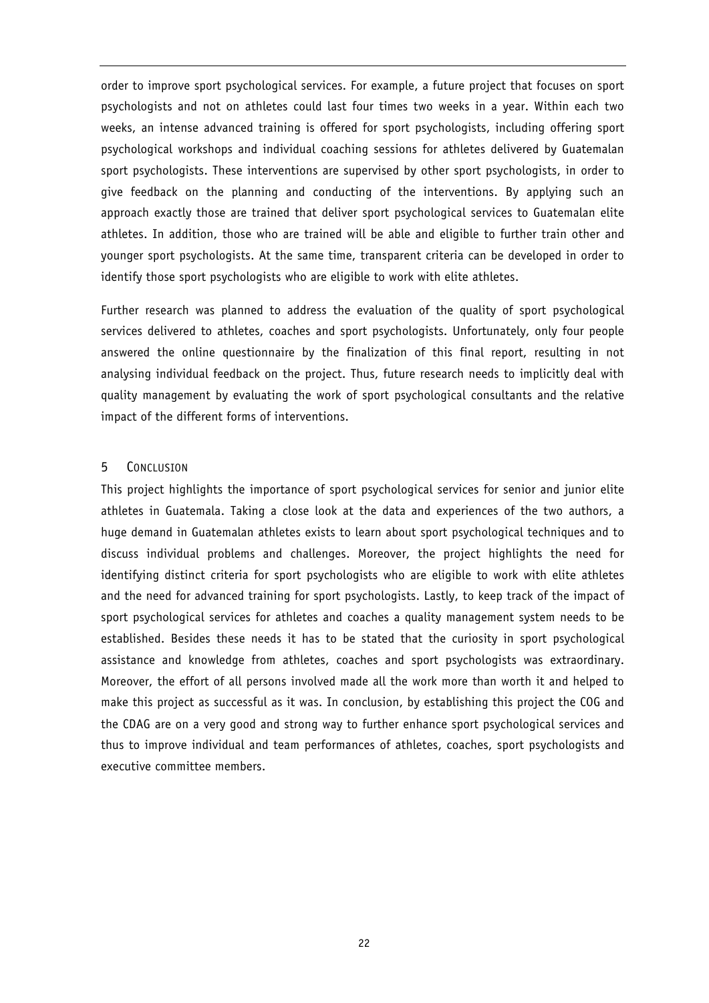order to improve sport psychological services. For example, a future project that focuses on sport psychologists and not on athletes could last four times two weeks in a year. Within each two weeks, an intense advanced training is offered for sport psychologists, including offering sport psychological workshops and individual coaching sessions for athletes delivered by Guatemalan sport psychologists. These interventions are supervised by other sport psychologists, in order to give feedback on the planning and conducting of the interventions. By applying such an approach exactly those are trained that deliver sport psychological services to Guatemalan elite athletes. In addition, those who are trained will be able and eligible to further train other and younger sport psychologists. At the same time, transparent criteria can be developed in order to identify those sport psychologists who are eligible to work with elite athletes.

Further research was planned to address the evaluation of the quality of sport psychological services delivered to athletes, coaches and sport psychologists. Unfortunately, only four people answered the online questionnaire by the finalization of this final report, resulting in not analysing individual feedback on the project. Thus, future research needs to implicitly deal with quality management by evaluating the work of sport psychological consultants and the relative impact of the different forms of interventions.

# 5 CONCLUSION

This project highlights the importance of sport psychological services for senior and junior elite athletes in Guatemala. Taking a close look at the data and experiences of the two authors, a huge demand in Guatemalan athletes exists to learn about sport psychological techniques and to discuss individual problems and challenges. Moreover, the project highlights the need for identifying distinct criteria for sport psychologists who are eligible to work with elite athletes and the need for advanced training for sport psychologists. Lastly, to keep track of the impact of sport psychological services for athletes and coaches a quality management system needs to be established. Besides these needs it has to be stated that the curiosity in sport psychological assistance and knowledge from athletes, coaches and sport psychologists was extraordinary. Moreover, the effort of all persons involved made all the work more than worth it and helped to make this project as successful as it was. In conclusion, by establishing this project the COG and the CDAG are on a very good and strong way to further enhance sport psychological services and thus to improve individual and team performances of athletes, coaches, sport psychologists and executive committee members.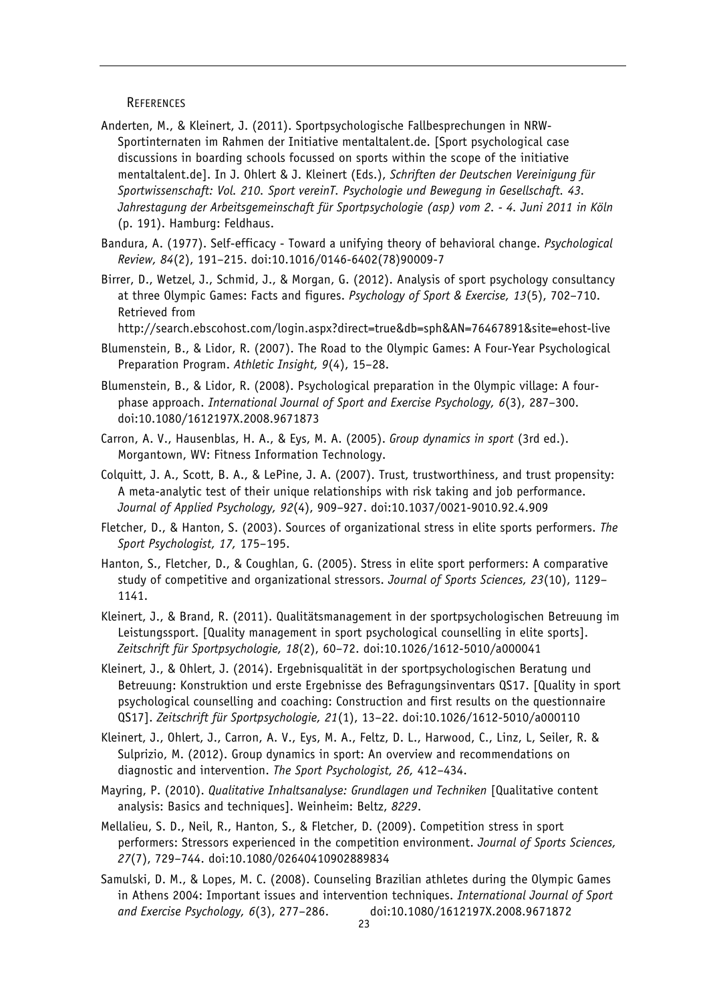#### **REFERENCES**

- Anderten, M., & Kleinert, J. (2011). Sportpsychologische Fallbesprechungen in NRW-Sportinternaten im Rahmen der Initiative mentaltalent.de. [Sport psychological case discussions in boarding schools focussed on sports within the scope of the initiative mentaltalent.de]. In J. Ohlert & J. Kleinert (Eds.), *Schriften der Deutschen Vereinigung für Sportwissenschaft: Vol. 210. Sport vereinT. Psychologie und Bewegung in Gesellschaft. 43. Jahrestagung der Arbeitsgemeinschaft für Sportpsychologie (asp) vom 2. - 4. Juni 2011 in Köln*  (p. 191). Hamburg: Feldhaus.
- Bandura, A. (1977). Self-efficacy Toward a unifying theory of behavioral change. *Psychological Review, 84*(2), 191–215. doi:10.1016/0146-6402(78)90009-7
- Birrer, D., Wetzel, J., Schmid, J., & Morgan, G. (2012). Analysis of sport psychology consultancy at three Olympic Games: Facts and figures. *Psychology of Sport & Exercise, 13*(5), 702–710. Retrieved from

http://search.ebscohost.com/login.aspx?direct=true&db=sph&AN=76467891&site=ehost-live

- Blumenstein, B., & Lidor, R. (2007). The Road to the Olympic Games: A Four-Year Psychological Preparation Program. *Athletic Insight, 9*(4), 15–28.
- Blumenstein, B., & Lidor, R. (2008). Psychological preparation in the Olympic village: A fourphase approach. *International Journal of Sport and Exercise Psychology, 6*(3), 287–300. doi:10.1080/1612197X.2008.9671873
- Carron, A. V., Hausenblas, H. A., & Eys, M. A. (2005). *Group dynamics in sport* (3rd ed.). Morgantown, WV: Fitness Information Technology.
- Colquitt, J. A., Scott, B. A., & LePine, J. A. (2007). Trust, trustworthiness, and trust propensity: A meta-analytic test of their unique relationships with risk taking and job performance. *Journal of Applied Psychology, 92*(4), 909–927. doi:10.1037/0021-9010.92.4.909
- Fletcher, D., & Hanton, S. (2003). Sources of organizational stress in elite sports performers. *The Sport Psychologist, 17,* 175–195.
- Hanton, S., Fletcher, D., & Coughlan, G. (2005). Stress in elite sport performers: A comparative study of competitive and organizational stressors. *Journal of Sports Sciences, 23*(10), 1129– 1141.
- Kleinert, J., & Brand, R. (2011). Qualitätsmanagement in der sportpsychologischen Betreuung im Leistungssport. [Quality management in sport psychological counselling in elite sports]. *Zeitschrift für Sportpsychologie, 18*(2), 60–72. doi:10.1026/1612-5010/a000041
- Kleinert, J., & Ohlert, J. (2014). Ergebnisqualität in der sportpsychologischen Beratung und Betreuung: Konstruktion und erste Ergebnisse des Befragungsinventars QS17. [Quality in sport psychological counselling and coaching: Construction and first results on the questionnaire QS17]. *Zeitschrift für Sportpsychologie, 21*(1), 13–22. doi:10.1026/1612-5010/a000110
- Kleinert, J., Ohlert, J., Carron, A. V., Eys, M. A., Feltz, D. L., Harwood, C., Linz, L, Seiler, R. & Sulprizio, M. (2012). Group dynamics in sport: An overview and recommendations on diagnostic and intervention. *The Sport Psychologist, 26,* 412–434.
- Mayring, P. (2010). *Qualitative Inhaltsanalyse: Grundlagen und Techniken* [Qualitative content analysis: Basics and techniques]. Weinheim: Beltz, *8229*.
- Mellalieu, S. D., Neil, R., Hanton, S., & Fletcher, D. (2009). Competition stress in sport performers: Stressors experienced in the competition environment. *Journal of Sports Sciences, 27*(7), 729–744. doi:10.1080/02640410902889834
- Samulski, D. M., & Lopes, M. C. (2008). Counseling Brazilian athletes during the Olympic Games in Athens 2004: Important issues and intervention techniques. *International Journal of Sport and Exercise Psychology, 6*(3), 277–286. doi:10.1080/1612197X.2008.9671872